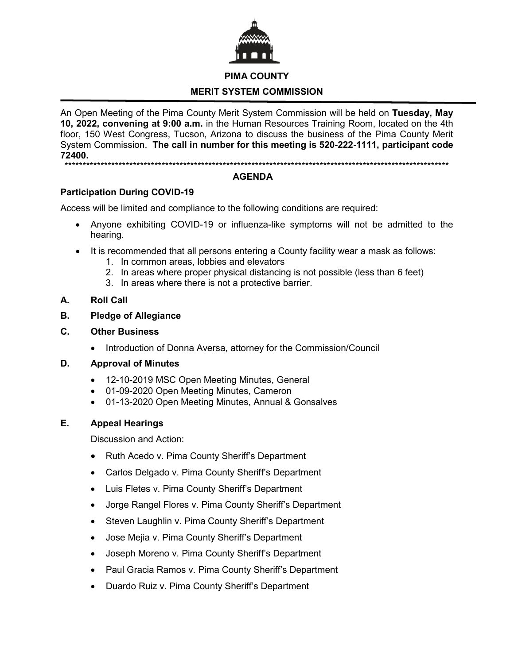

## **PIMA COUNTY**

# **MERIT SYSTEM COMMISSION**

An Open Meeting of the Pima County Merit System Commission will be held on **Tuesday, May 10, 2022, convening at 9:00 a.m.** in the Human Resources Training Room, located on the 4th floor, 150 West Congress, Tucson, Arizona to discuss the business of the Pima County Merit System Commission. **The call in number for this meeting is 520-222-1111, participant code 72400.**

\*\*\*\*\*\*\*\*\*\*\*\*\*\*\*\*\*\*\*\*\*\*\*\*\*\*\*\*\*\*\*\*\*\*\*\*\*\*\*\*\*\*\*\*\*\*\*\*\*\*\*\*\*\*\*\*\*\*\*\*\*\*\*\*\*\*\*\*\*\*\*\*\*\*\*\*\*\*\*\*\*\*\*\*\*\*\*\*\*\*\*\*\*\*\*\*\*\*\*\*\*\*\*\*\*\*\*

## **AGENDA**

## **Participation During COVID-19**

Access will be limited and compliance to the following conditions are required:

- Anyone exhibiting COVID-19 or influenza-like symptoms will not be admitted to the hearing.
- It is recommended that all persons entering a County facility wear a mask as follows:
	- 1. In common areas, lobbies and elevators
	- 2. In areas where proper physical distancing is not possible (less than 6 feet)
	- 3. In areas where there is not a protective barrier.

## **A. Roll Call**

- **B. Pledge of Allegiance**
- **C. Other Business**
	- Introduction of Donna Aversa, attorney for the Commission/Council

### **D. Approval of Minutes**

- 12-10-2019 MSC Open Meeting Minutes, General
- 01-09-2020 Open Meeting Minutes, Cameron
- 01-13-2020 Open Meeting Minutes, Annual & Gonsalves

## **E. Appeal Hearings**

Discussion and Action:

- Ruth Acedo v. Pima County Sheriff's Department
- Carlos Delgado v. Pima County Sheriff's Department
- Luis Fletes v. Pima County Sheriff's Department
- Jorge Rangel Flores v. Pima County Sheriff's Department
- Steven Laughlin v. Pima County Sheriff's Department
- Jose Mejia v. Pima County Sheriff's Department
- Joseph Moreno v. Pima County Sheriff's Department
- Paul Gracia Ramos v. Pima County Sheriff's Department
- Duardo Ruiz v. Pima County Sheriff's Department